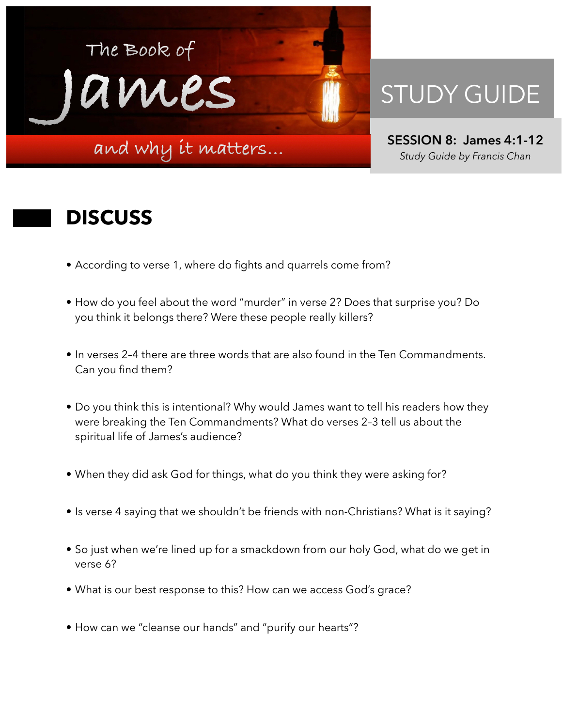

## STUDY GUIDE

**SESSION 8: James 4:1-12**  *Study Guide by Francis Chan*

## **DISCUSS**

- According to verse 1, where do fights and quarrels come from?
- How do you feel about the word "murder" in verse 2? Does that surprise you? Do you think it belongs there? Were these people really killers?
- In verses 2–4 there are three words that are also found in the Ten Commandments. Can you find them?
- Do you think this is intentional? Why would James want to tell his readers how they were breaking the Ten Commandments? What do verses 2–3 tell us about the spiritual life of James's audience?
- When they did ask God for things, what do you think they were asking for?
- Is verse 4 saying that we shouldn't be friends with non-Christians? What is it saying?
- So just when we're lined up for a smackdown from our holy God, what do we get in verse 6?
- What is our best response to this? How can we access God's grace?
- How can we "cleanse our hands" and "purify our hearts"?